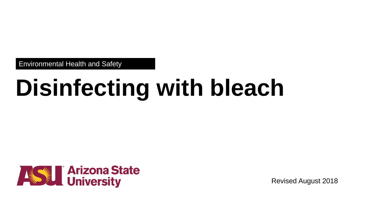Environmental Health and Safety

# **Disinfecting with bleach**



Revised August 2018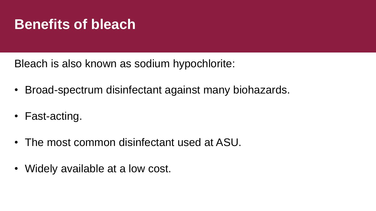## **Benefits of bleach**

Bleach is also known as sodium hypochlorite:

- Broad-spectrum disinfectant against many biohazards.
- Fast-acting.
- The most common disinfectant used at ASU.
- Widely available at a low cost.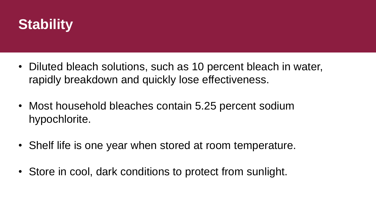

- Diluted bleach solutions, such as 10 percent bleach in water, rapidly breakdown and quickly lose effectiveness.
- Most household bleaches contain 5.25 percent sodium hypochlorite.
- Shelf life is one year when stored at room temperature.
- Store in cool, dark conditions to protect from sunlight.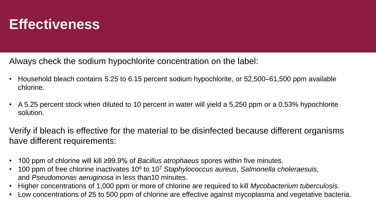## **Effectiveness**

Always check the sodium hypochlorite concentration on the label:

- Household bleach contains 5.25 to 6.15 percent sodium hypochlorite, or 52,500–61,500 ppm available chlorine.
- A 5.25 percent stock when diluted to 10 percent in water will yield a 5,250 ppm or a 0.53% hypochlorite solution.

Verify if bleach is effective for the material to be disinfected because different organisms have different requirements:

- 100 ppm of chlorine will kill ≥99.9% of *Bacillus atrophaeus* spores within five minutes.
- 100 ppm of free chlorine inactivates 10<sup>6</sup> to 10<sup>7</sup> Staphylococcus aureus, Salmonella choleraesuis, and *Pseudomonas aeruginosa* in less than10 minutes.
- Higher concentrations of 1,000 ppm or more of chlorine are required to kill *Mycobacterium tuberculosis.*
- Low concentrations of 25 to 500 ppm of chlorine are effective against mycoplasma and vegetative bacteria.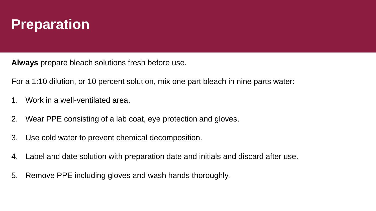## **Preparation**

**Always** prepare bleach solutions fresh before use.

For a 1:10 dilution, or 10 percent solution, mix one part bleach in nine parts water:

- 1. Work in a well-ventilated area.
- 2. Wear PPE consisting of a lab coat, eye protection and gloves.
- 3. Use cold water to prevent chemical decomposition.
- 4. Label and date solution with preparation date and initials and discard after use.
- 5. Remove PPE including gloves and wash hands thoroughly.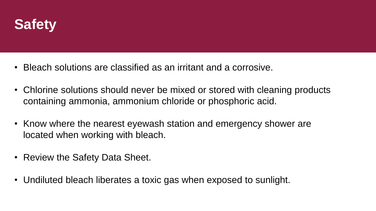

- Bleach solutions are classified as an irritant and a corrosive.
- Chlorine solutions should never be mixed or stored with cleaning products containing ammonia, ammonium chloride or phosphoric acid.
- Know where the nearest eyewash station and emergency shower are located when working with bleach.
- Review the Safety Data Sheet.
- Undiluted bleach liberates a toxic gas when exposed to sunlight.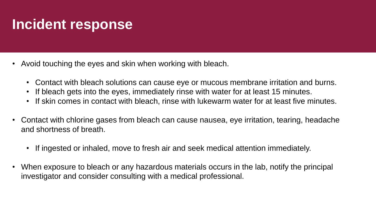## **Incident response**

- Avoid touching the eyes and skin when working with bleach.
	- Contact with bleach solutions can cause eye or mucous membrane irritation and burns.
	- If bleach gets into the eyes, immediately rinse with water for at least 15 minutes.
	- If skin comes in contact with bleach, rinse with lukewarm water for at least five minutes.
- Contact with chlorine gases from bleach can cause nausea, eye irritation, tearing, headache and shortness of breath.
	- If ingested or inhaled, move to fresh air and seek medical attention immediately.
- When exposure to bleach or any hazardous materials occurs in the lab, notify the principal investigator and consider consulting with a medical professional.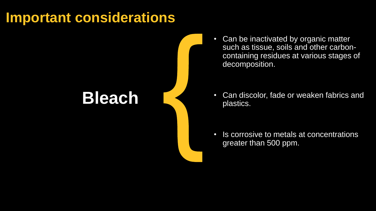## **Important considerations**

## **Bleach**

• Can be inactivated by organic matter such as tissue, soils and other carboncontaining residues at various stages of decomposition.

• Can discolor, fade or weaken fabrics and plastics.

• Is corrosive to metals at concentrations greater than 500 ppm.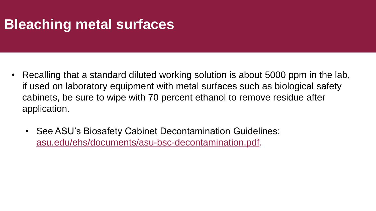## **Bleaching metal surfaces**

- Recalling that a standard diluted working solution is about 5000 ppm in the lab, if used on laboratory equipment with metal surfaces such as biological safety cabinets, be sure to wipe with 70 percent ethanol to remove residue after application.
	- See ASU's Biosafety Cabinet Decontamination Guidelines: [asu.edu/ehs/documents/asu-bsc-decontamination.pdf.](https://www.asu.edu/ehs/documents/asu-bsc-decontamination.pdf)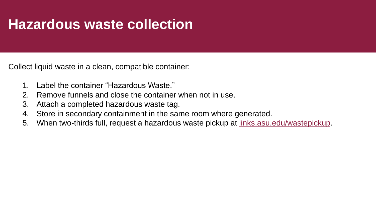## **Hazardous waste collection**

Collect liquid waste in a clean, compatible container:

- 1. Label the container "Hazardous Waste."
- 2. Remove funnels and close the container when not in use.
- 3. Attach a completed hazardous waste tag.
- 4. Store in secondary containment in the same room where generated.
- 5. When two-thirds full, request a hazardous waste pickup at [links.asu.edu/wastepickup.](http://links.asu.edu/wastepickup)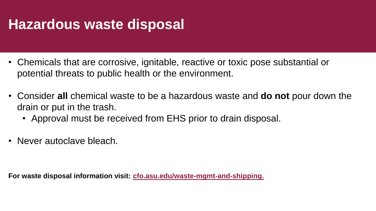## **Hazardous waste disposal**

- Chemicals that are corrosive, ignitable, reactive or toxic pose substantial or potential threats to public health or the environment.
- Consider **all** chemical waste to be a hazardous waste and **do not** pour down the drain or put in the trash.
	- Approval must be received from EHS prior to drain disposal.
- Never autoclave bleach.

**For waste disposal information visit: [cfo.asu.edu/waste-mgmt-and-shipping.](https://cfo.asu.edu/waste-mgmt-and-shipping)**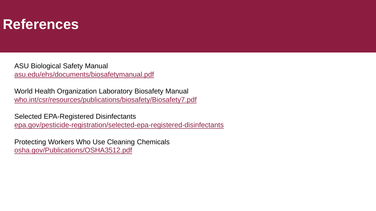#### **References**

ASU Biological Safety Manual [asu.edu/ehs/documents/biosafetymanual.pdf](https://www.asu.edu/ehs/documents/biosafetymanual.pdf)

World Health Organization Laboratory Biosafety Manual [who.int/csr/resources/publications/biosafety/Biosafety7.pdf](http://www.who.int/csr/resources/publications/biosafety/Biosafety7.pdf)

Selected EPA-Registered Disinfectants [epa.gov/pesticide-registration/selected-epa-registered-disinfectants](https://www.epa.gov/pesticide-registration/selected-epa-registered-disinfectants)

Protecting Workers Who Use Cleaning Chemicals [osha.gov/Publications/OSHA3512.pdf](https://www.osha.gov/Publications/OSHA3512.pdf)